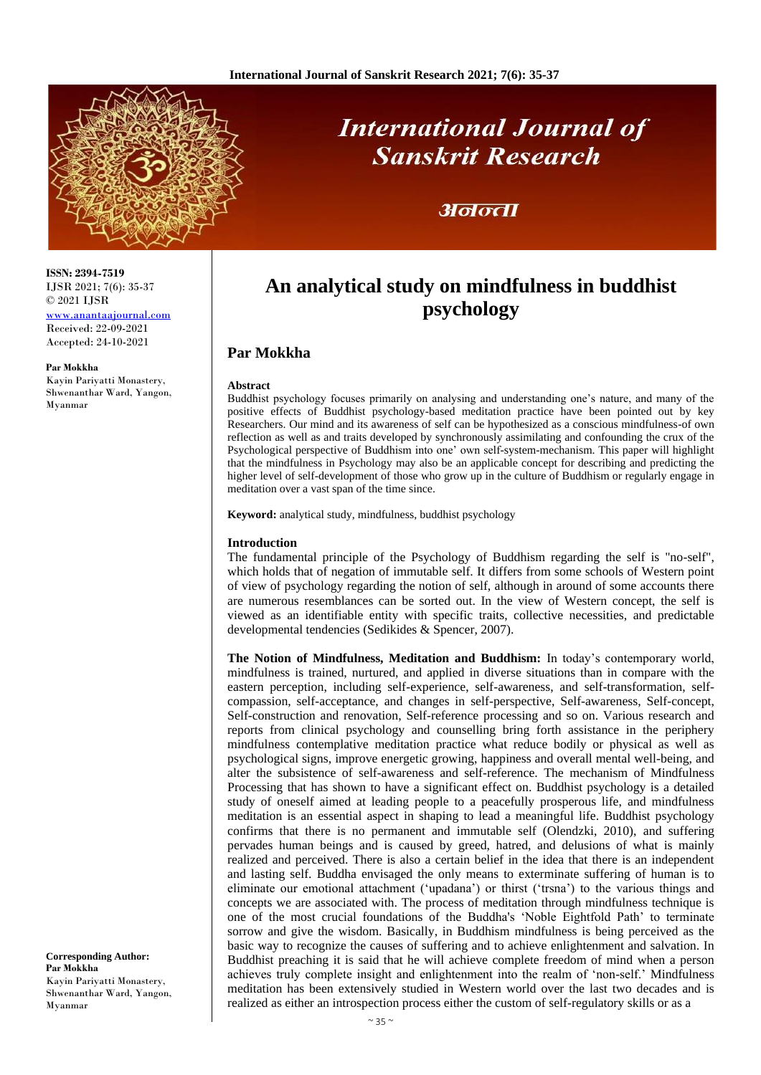

# **International Journal of Sanskrit Research**

## अनन्ता

# **An analytical study on mindfulness in buddhist psychology**

### **Par Mokkha**

#### **Abstract**

Buddhist psychology focuses primarily on analysing and understanding one's nature, and many of the positive effects of Buddhist psychology-based meditation practice have been pointed out by key Researchers. Our mind and its awareness of self can be hypothesized as a conscious mindfulness-of own reflection as well as and traits developed by synchronously assimilating and confounding the crux of the Psychological perspective of Buddhism into one' own self-system-mechanism. This paper will highlight that the mindfulness in Psychology may also be an applicable concept for describing and predicting the higher level of self-development of those who grow up in the culture of Buddhism or regularly engage in meditation over a vast span of the time since.

**Keyword:** analytical study, mindfulness, buddhist psychology

#### **Introduction**

The fundamental principle of the Psychology of Buddhism regarding the self is "no-self", which holds that of negation of immutable self. It differs from some schools of Western point of view of psychology regarding the notion of self, although in around of some accounts there are numerous resemblances can be sorted out. In the view of Western concept, the self is viewed as an identifiable entity with specific traits, collective necessities, and predictable developmental tendencies (Sedikides & Spencer, 2007).

**The Notion of Mindfulness, Meditation and Buddhism:** In today's contemporary world, mindfulness is trained, nurtured, and applied in diverse situations than in compare with the eastern perception, including self-experience, self-awareness, and self-transformation, selfcompassion, self-acceptance, and changes in self-perspective, Self-awareness, Self-concept, Self-construction and renovation, Self-reference processing and so on. Various research and reports from clinical psychology and counselling bring forth assistance in the periphery mindfulness contemplative meditation practice what reduce bodily or physical as well as psychological signs, improve energetic growing, happiness and overall mental well-being, and alter the subsistence of self-awareness and self-reference. The mechanism of Mindfulness Processing that has shown to have a significant effect on. Buddhist psychology is a detailed study of oneself aimed at leading people to a peacefully prosperous life, and mindfulness meditation is an essential aspect in shaping to lead a meaningful life. Buddhist psychology confirms that there is no permanent and immutable self (Olendzki, 2010), and suffering pervades human beings and is caused by greed, hatred, and delusions of what is mainly realized and perceived. There is also a certain belief in the idea that there is an independent and lasting self. Buddha envisaged the only means to exterminate suffering of human is to eliminate our emotional attachment ('upadana') or thirst ('trsna') to the various things and concepts we are associated with. The process of meditation through mindfulness technique is one of the most crucial foundations of the Buddha's 'Noble Eightfold Path' to terminate sorrow and give the wisdom. Basically, in Buddhism mindfulness is being perceived as the basic way to recognize the causes of suffering and to achieve enlightenment and salvation. In Buddhist preaching it is said that he will achieve complete freedom of mind when a person achieves truly complete insight and enlightenment into the realm of 'non-self.' Mindfulness meditation has been extensively studied in Western world over the last two decades and is realized as either an introspection process either the custom of self-regulatory skills or as a

**ISSN: 2394-7519** IJSR 2021; 7(6): 35-37 © 2021 IJSR

[www.anantaajournal.com](http://www.anantaajournal.com/) Received: 22-09-2021 Accepted: 24-10-2021

#### **Par Mokkha**

Kayin Pariyatti Monastery, Shwenanthar Ward, Yangon, Myanmar

**Corresponding Author: Par Mokkha** Kayin Pariyatti Monastery, Shwenanthar Ward, Yangon, Myanmar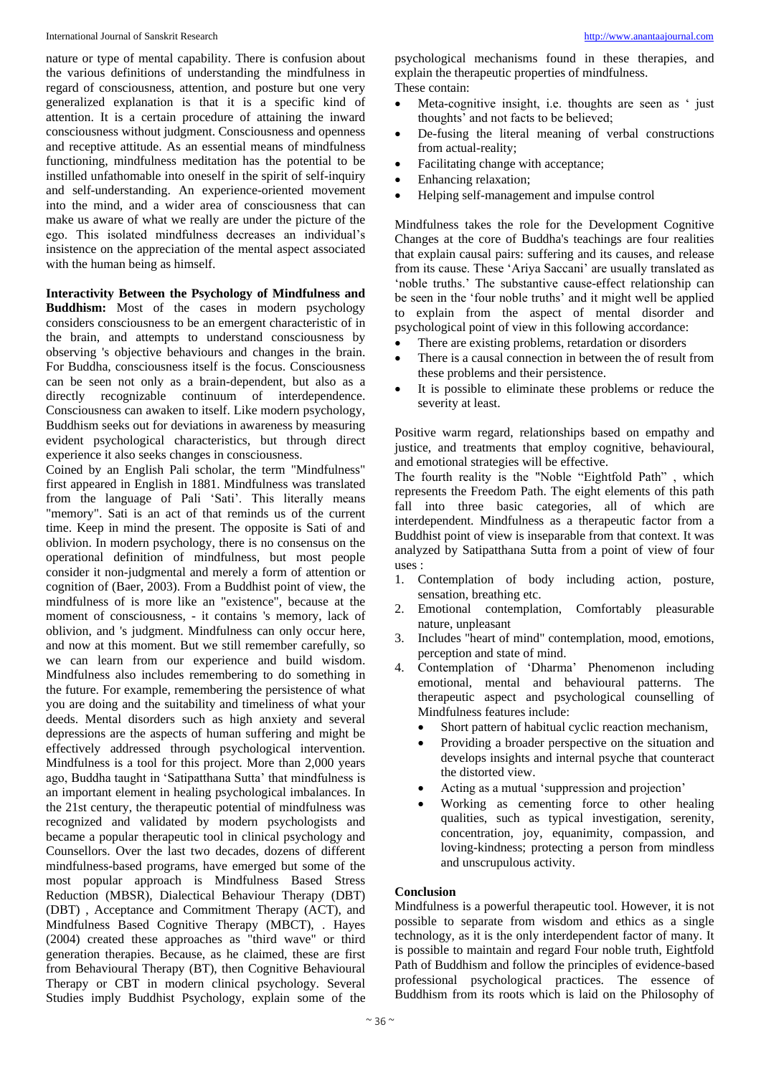nature or type of mental capability. There is confusion about the various definitions of understanding the mindfulness in regard of consciousness, attention, and posture but one very generalized explanation is that it is a specific kind of attention. It is a certain procedure of attaining the inward consciousness without judgment. Consciousness and openness and receptive attitude. As an essential means of mindfulness functioning, mindfulness meditation has the potential to be instilled unfathomable into oneself in the spirit of self-inquiry and self-understanding. An experience-oriented movement into the mind, and a wider area of consciousness that can make us aware of what we really are under the picture of the ego. This isolated mindfulness decreases an individual's insistence on the appreciation of the mental aspect associated with the human being as himself.

**Interactivity Between the Psychology of Mindfulness and Buddhism:** Most of the cases in modern psychology considers consciousness to be an emergent characteristic of in the brain, and attempts to understand consciousness by observing 's objective behaviours and changes in the brain. For Buddha, consciousness itself is the focus. Consciousness can be seen not only as a brain-dependent, but also as a directly recognizable continuum of interdependence. Consciousness can awaken to itself. Like modern psychology, Buddhism seeks out for deviations in awareness by measuring evident psychological characteristics, but through direct experience it also seeks changes in consciousness.

Coined by an English Pali scholar, the term "Mindfulness" first appeared in English in 1881. Mindfulness was translated from the language of Pali 'Sati'. This literally means "memory". Sati is an act of that reminds us of the current time. Keep in mind the present. The opposite is Sati of and oblivion. In modern psychology, there is no consensus on the operational definition of mindfulness, but most people consider it non-judgmental and merely a form of attention or cognition of (Baer, 2003). From a Buddhist point of view, the mindfulness of is more like an "existence", because at the moment of consciousness, - it contains 's memory, lack of oblivion, and 's judgment. Mindfulness can only occur here, and now at this moment. But we still remember carefully, so we can learn from our experience and build wisdom. Mindfulness also includes remembering to do something in the future. For example, remembering the persistence of what you are doing and the suitability and timeliness of what your deeds. Mental disorders such as high anxiety and several depressions are the aspects of human suffering and might be effectively addressed through psychological intervention. Mindfulness is a tool for this project. More than 2,000 years ago, Buddha taught in 'Satipatthana Sutta' that mindfulness is an important element in healing psychological imbalances. In the 21st century, the therapeutic potential of mindfulness was recognized and validated by modern psychologists and became a popular therapeutic tool in clinical psychology and Counsellors. Over the last two decades, dozens of different mindfulness-based programs, have emerged but some of the most popular approach is Mindfulness Based Stress Reduction (MBSR), Dialectical Behaviour Therapy (DBT) (DBT) , Acceptance and Commitment Therapy (ACT), and Mindfulness Based Cognitive Therapy (MBCT), . Hayes (2004) created these approaches as "third wave" or third generation therapies. Because, as he claimed, these are first from Behavioural Therapy (BT), then Cognitive Behavioural Therapy or CBT in modern clinical psychology. Several Studies imply Buddhist Psychology, explain some of the

psychological mechanisms found in these therapies, and explain the therapeutic properties of mindfulness. These contain:

- Meta-cognitive insight, i.e. thoughts are seen as ' just thoughts' and not facts to be believed;
- De-fusing the literal meaning of verbal constructions from actual-reality;
- Facilitating change with acceptance;
- Enhancing relaxation;
- Helping self-management and impulse control

Mindfulness takes the role for the Development Cognitive Changes at the core of Buddha's teachings are four realities that explain causal pairs: suffering and its causes, and release from its cause. These 'Ariya Saccani' are usually translated as 'noble truths.' The substantive cause-effect relationship can be seen in the 'four noble truths' and it might well be applied to explain from the aspect of mental disorder and psychological point of view in this following accordance:

- There are existing problems, retardation or disorders
- There is a causal connection in between the of result from these problems and their persistence.
- It is possible to eliminate these problems or reduce the severity at least.

Positive warm regard, relationships based on empathy and justice, and treatments that employ cognitive, behavioural, and emotional strategies will be effective.

The fourth reality is the "Noble "Eightfold Path" , which represents the Freedom Path. The eight elements of this path fall into three basic categories, all of which are interdependent. Mindfulness as a therapeutic factor from a Buddhist point of view is inseparable from that context. It was analyzed by Satipatthana Sutta from a point of view of four uses :

- 1. Contemplation of body including action, posture, sensation, breathing etc.
- 2. Emotional contemplation, Comfortably pleasurable nature, unpleasant
- 3. Includes "heart of mind" contemplation, mood, emotions, perception and state of mind.
- 4. Contemplation of 'Dharma' Phenomenon including emotional, mental and behavioural patterns. The therapeutic aspect and psychological counselling of Mindfulness features include:
	- Short pattern of habitual cyclic reaction mechanism,
	- Providing a broader perspective on the situation and develops insights and internal psyche that counteract the distorted view.
	- Acting as a mutual 'suppression and projection'
	- Working as cementing force to other healing qualities, such as typical investigation, serenity, concentration, joy, equanimity, compassion, and loving-kindness; protecting a person from mindless and unscrupulous activity.

#### **Conclusion**

Mindfulness is a powerful therapeutic tool. However, it is not possible to separate from wisdom and ethics as a single technology, as it is the only interdependent factor of many. It is possible to maintain and regard Four noble truth, Eightfold Path of Buddhism and follow the principles of evidence-based professional psychological practices. The essence of Buddhism from its roots which is laid on the Philosophy of